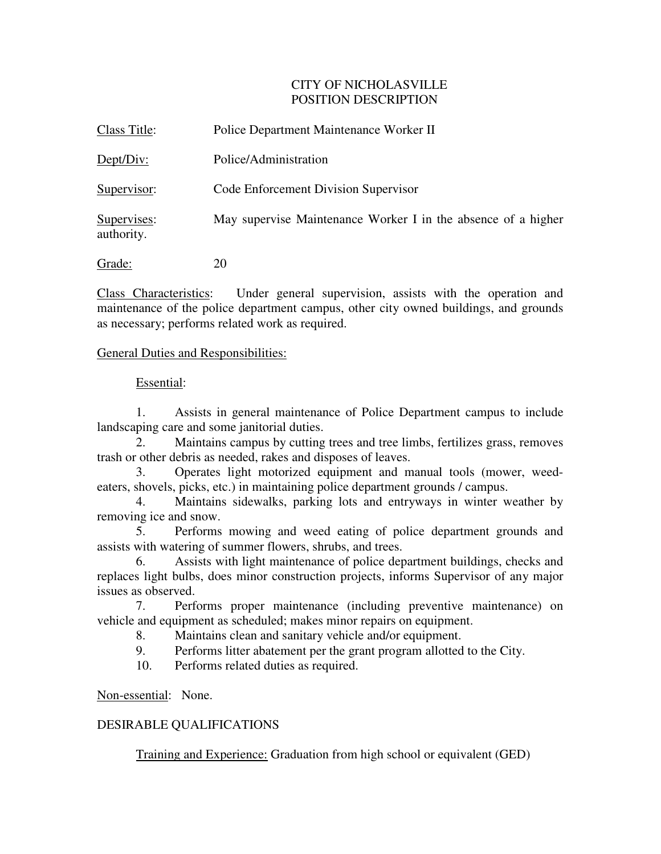# CITY OF NICHOLASVILLE POSITION DESCRIPTION

| Class Title:              | Police Department Maintenance Worker II                       |
|---------------------------|---------------------------------------------------------------|
| Dept/Div:                 | Police/Administration                                         |
| Supervisor:               | Code Enforcement Division Supervisor                          |
| Supervises:<br>authority. | May supervise Maintenance Worker I in the absence of a higher |
| Grade:                    | 20                                                            |

Class Characteristics: Under general supervision, assists with the operation and maintenance of the police department campus, other city owned buildings, and grounds as necessary; performs related work as required.

### General Duties and Responsibilities:

#### Essential:

1. Assists in general maintenance of Police Department campus to include landscaping care and some janitorial duties.

2. Maintains campus by cutting trees and tree limbs, fertilizes grass, removes trash or other debris as needed, rakes and disposes of leaves.

3. Operates light motorized equipment and manual tools (mower, weedeaters, shovels, picks, etc.) in maintaining police department grounds / campus.

 4. Maintains sidewalks, parking lots and entryways in winter weather by removing ice and snow.

 5. Performs mowing and weed eating of police department grounds and assists with watering of summer flowers, shrubs, and trees.

 6. Assists with light maintenance of police department buildings, checks and replaces light bulbs, does minor construction projects, informs Supervisor of any major issues as observed.

 7. Performs proper maintenance (including preventive maintenance) on vehicle and equipment as scheduled; makes minor repairs on equipment.

8. Maintains clean and sanitary vehicle and/or equipment.

9. Performs litter abatement per the grant program allotted to the City.

10. Performs related duties as required.

Non-essential: None.

# DESIRABLE QUALIFICATIONS

Training and Experience: Graduation from high school or equivalent (GED)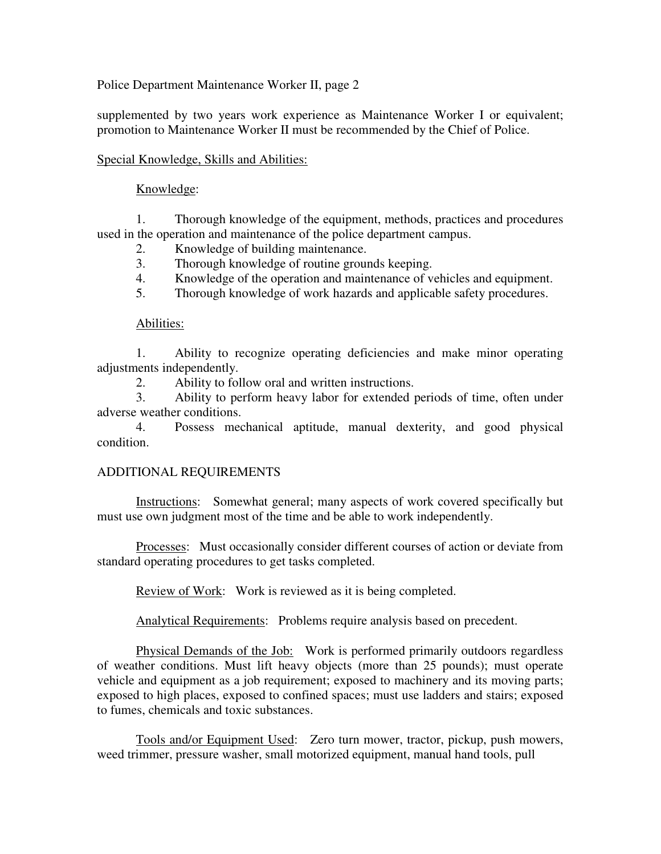Police Department Maintenance Worker II, page 2

supplemented by two years work experience as Maintenance Worker I or equivalent; promotion to Maintenance Worker II must be recommended by the Chief of Police.

### Special Knowledge, Skills and Abilities:

### Knowledge:

 1. Thorough knowledge of the equipment, methods, practices and procedures used in the operation and maintenance of the police department campus.

2. Knowledge of building maintenance.

- 3. Thorough knowledge of routine grounds keeping.
- 4. Knowledge of the operation and maintenance of vehicles and equipment.
- 5. Thorough knowledge of work hazards and applicable safety procedures.

#### Abilities:

 1. Ability to recognize operating deficiencies and make minor operating adjustments independently.

2. Ability to follow oral and written instructions.

3. Ability to perform heavy labor for extended periods of time, often under adverse weather conditions.

 4. Possess mechanical aptitude, manual dexterity, and good physical condition.

# ADDITIONAL REQUIREMENTS

 Instructions: Somewhat general; many aspects of work covered specifically but must use own judgment most of the time and be able to work independently.

Processes: Must occasionally consider different courses of action or deviate from standard operating procedures to get tasks completed.

Review of Work: Work is reviewed as it is being completed.

Analytical Requirements: Problems require analysis based on precedent.

Physical Demands of the Job: Work is performed primarily outdoors regardless of weather conditions. Must lift heavy objects (more than 25 pounds); must operate vehicle and equipment as a job requirement; exposed to machinery and its moving parts; exposed to high places, exposed to confined spaces; must use ladders and stairs; exposed to fumes, chemicals and toxic substances.

 Tools and/or Equipment Used: Zero turn mower, tractor, pickup, push mowers, weed trimmer, pressure washer, small motorized equipment, manual hand tools, pull